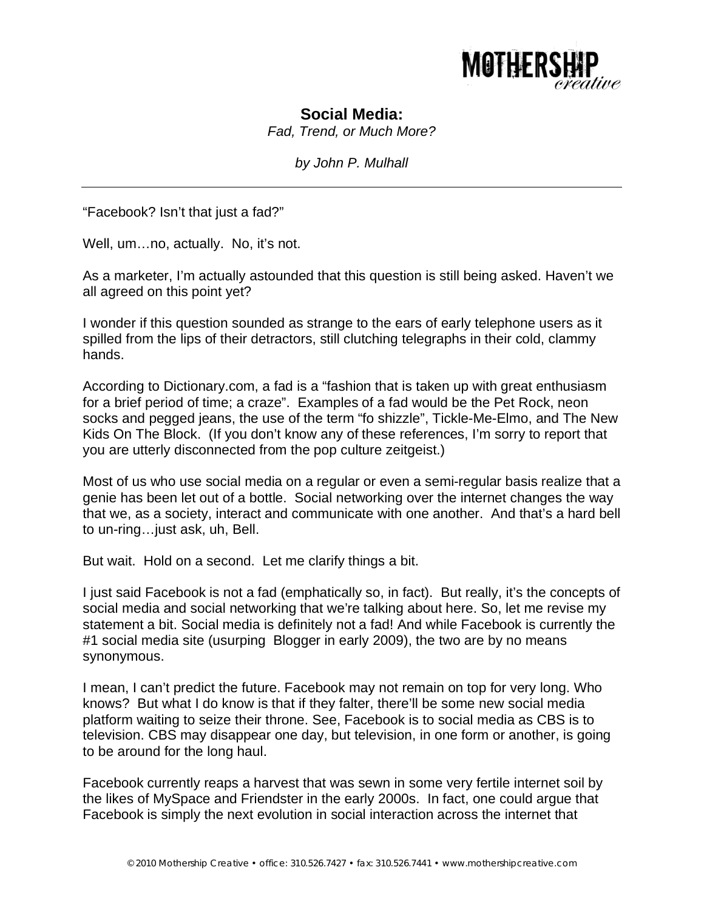

## **Social Media:**

*Fad, Trend, or Much More?* 

*by John P. Mulhall* 

"Facebook? Isn't that just a fad?"

Well, um...no, actually. No, it's not.

As a marketer, I'm actually astounded that this question is still being asked. Haven't we all agreed on this point yet?

I wonder if this question sounded as strange to the ears of early telephone users as it spilled from the lips of their detractors, still clutching telegraphs in their cold, clammy hands.

According to Dictionary.com, a fad is a "fashion that is taken up with great enthusiasm for a brief period of time; a craze". Examples of a fad would be the Pet Rock, neon socks and pegged jeans, the use of the term "fo shizzle", Tickle-Me-Elmo, and The New Kids On The Block. (If you don't know any of these references, I'm sorry to report that you are utterly disconnected from the pop culture zeitgeist.)

Most of us who use social media on a regular or even a semi-regular basis realize that a genie has been let out of a bottle. Social networking over the internet changes the way that we, as a society, interact and communicate with one another. And that's a hard bell to un-ring…just ask, uh, Bell.

But wait. Hold on a second. Let me clarify things a bit.

I just said Facebook is not a fad (emphatically so, in fact). But really, it's the concepts of social media and social networking that we're talking about here. So, let me revise my statement a bit. Social media is definitely not a fad! And while Facebook is currently the #1 social media site (usurping Blogger in early 2009), the two are by no means synonymous.

I mean, I can't predict the future. Facebook may not remain on top for very long. Who knows? But what I do know is that if they falter, there'll be some new social media platform waiting to seize their throne. See, Facebook is to social media as CBS is to television. CBS may disappear one day, but television, in one form or another, is going to be around for the long haul.

Facebook currently reaps a harvest that was sewn in some very fertile internet soil by the likes of MySpace and Friendster in the early 2000s. In fact, one could argue that Facebook is simply the next evolution in social interaction across the internet that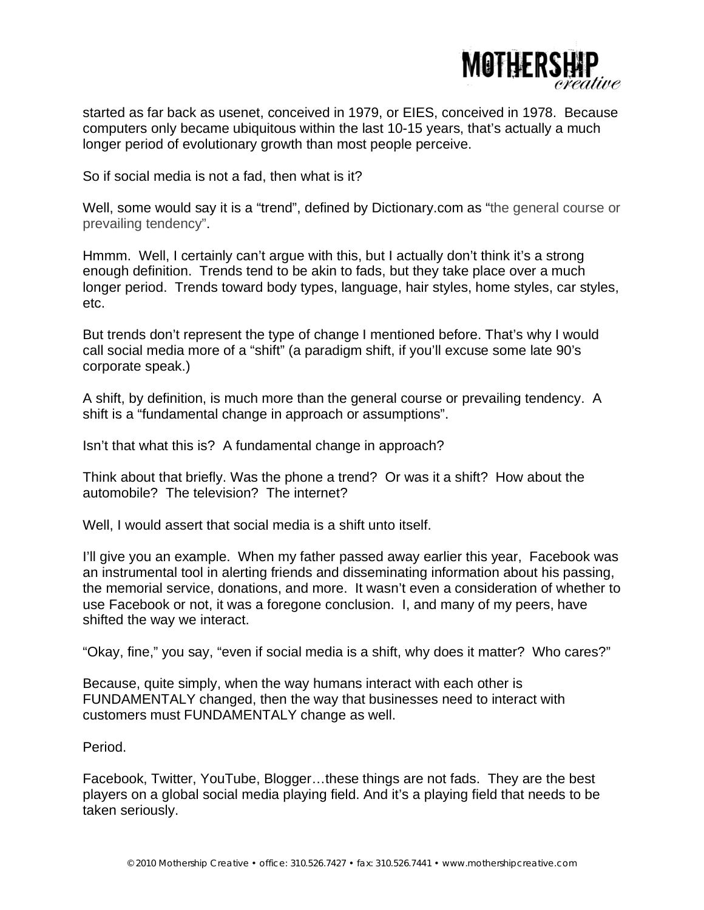

started as far back as usenet, conceived in 1979, or EIES, conceived in 1978. Because computers only became ubiquitous within the last 10-15 years, that's actually a much longer period of evolutionary growth than most people perceive.

So if social media is not a fad, then what is it?

Well, some would say it is a "trend", defined by Dictionary.com as "the general course or prevailing tendency".

Hmmm. Well, I certainly can't argue with this, but I actually don't think it's a strong enough definition. Trends tend to be akin to fads, but they take place over a much longer period. Trends toward body types, language, hair styles, home styles, car styles, etc.

But trends don't represent the type of change I mentioned before. That's why I would call social media more of a "shift" (a paradigm shift, if you'll excuse some late 90's corporate speak.)

A shift, by definition, is much more than the general course or prevailing tendency. A shift is a "fundamental change in approach or assumptions".

Isn't that what this is? A fundamental change in approach?

Think about that briefly. Was the phone a trend? Or was it a shift? How about the automobile? The television? The internet?

Well, I would assert that social media is a shift unto itself.

I'll give you an example. When my father passed away earlier this year, Facebook was an instrumental tool in alerting friends and disseminating information about his passing, the memorial service, donations, and more. It wasn't even a consideration of whether to use Facebook or not, it was a foregone conclusion. I, and many of my peers, have shifted the way we interact.

"Okay, fine," you say, "even if social media is a shift, why does it matter? Who cares?"

Because, quite simply, when the way humans interact with each other is FUNDAMENTALY changed, then the way that businesses need to interact with customers must FUNDAMENTALY change as well.

Period.

Facebook, Twitter, YouTube, Blogger…these things are not fads. They are the best players on a global social media playing field. And it's a playing field that needs to be taken seriously.